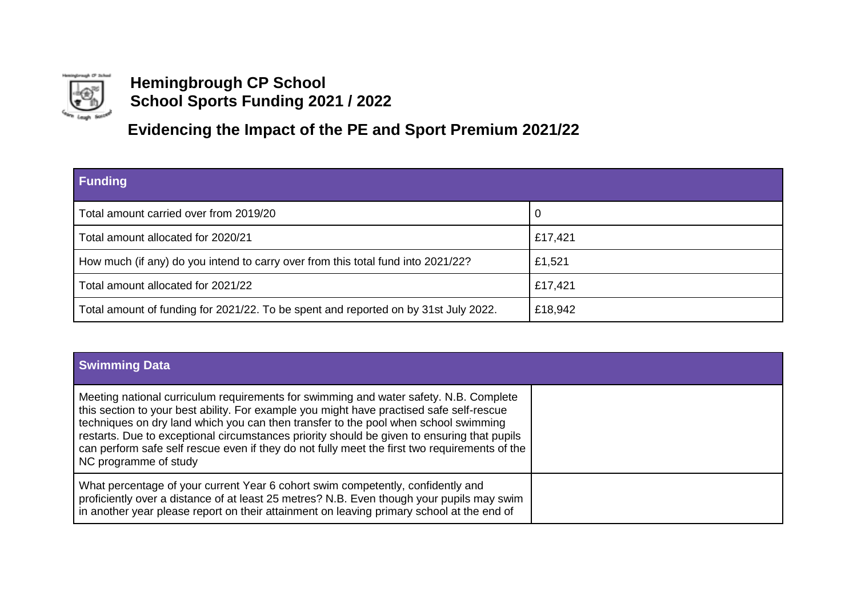

## **Hemingbrough CP School School Sports Funding 2021 / 2022**

**Evidencing the Impact of the PE and Sport Premium 2021/22**

| Funding                                                                             |         |
|-------------------------------------------------------------------------------------|---------|
| Total amount carried over from 2019/20                                              | υ       |
| Total amount allocated for 2020/21                                                  | £17,421 |
| How much (if any) do you intend to carry over from this total fund into 2021/22?    | £1,521  |
| Total amount allocated for 2021/22                                                  | £17,421 |
| Total amount of funding for 2021/22. To be spent and reported on by 31st July 2022. | £18,942 |

| <b>Swimming Data</b>                                                                                                                                                                                                                                                                                                                                                                                                                                                                              |  |
|---------------------------------------------------------------------------------------------------------------------------------------------------------------------------------------------------------------------------------------------------------------------------------------------------------------------------------------------------------------------------------------------------------------------------------------------------------------------------------------------------|--|
| Meeting national curriculum requirements for swimming and water safety. N.B. Complete<br>this section to your best ability. For example you might have practised safe self-rescue<br>techniques on dry land which you can then transfer to the pool when school swimming<br>restarts. Due to exceptional circumstances priority should be given to ensuring that pupils<br>can perform safe self rescue even if they do not fully meet the first two requirements of the<br>NC programme of study |  |
| What percentage of your current Year 6 cohort swim competently, confidently and<br>proficiently over a distance of at least 25 metres? N.B. Even though your pupils may swim<br>In another year please report on their attainment on leaving primary school at the end of                                                                                                                                                                                                                         |  |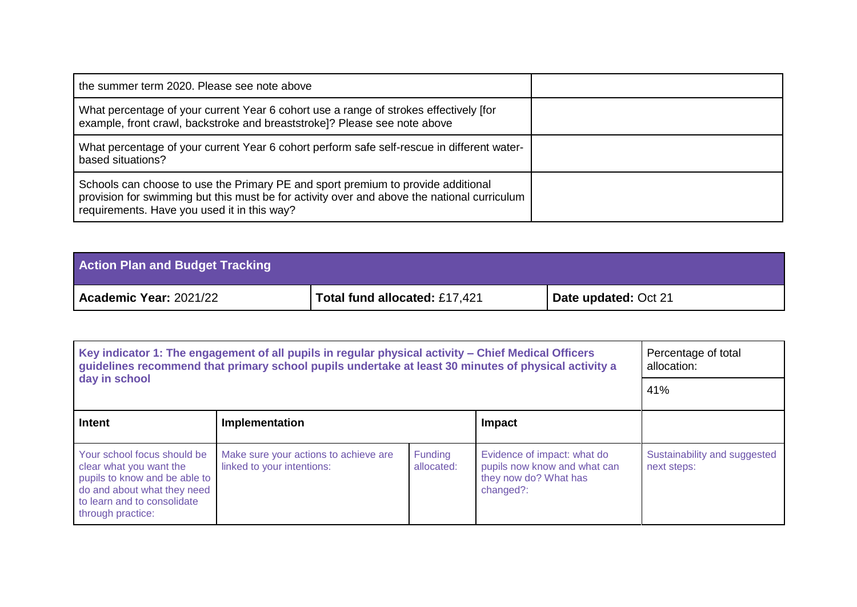| the summer term 2020. Please see note above                                                                                                                                                                                    |  |
|--------------------------------------------------------------------------------------------------------------------------------------------------------------------------------------------------------------------------------|--|
| What percentage of your current Year 6 cohort use a range of strokes effectively [for<br>example, front crawl, backstroke and breaststroke]? Please see note above                                                             |  |
| What percentage of your current Year 6 cohort perform safe self-rescue in different water-<br>based situations?                                                                                                                |  |
| Schools can choose to use the Primary PE and sport premium to provide additional<br>provision for swimming but this must be for activity over and above the national curriculum<br>requirements. Have you used it in this way? |  |

| <b>Action Plan and Budget Tracking</b> |                               |                      |
|----------------------------------------|-------------------------------|----------------------|
| <b>Academic Year: 2021/22</b>          | Total fund allocated: £17,421 | Date updated: Oct 21 |

| Key indicator 1: The engagement of all pupils in regular physical activity – Chief Medical Officers<br>guidelines recommend that primary school pupils undertake at least 30 minutes of physical activity a |                                                                     |                              |                                                                                                   | Percentage of total<br>allocation:          |
|-------------------------------------------------------------------------------------------------------------------------------------------------------------------------------------------------------------|---------------------------------------------------------------------|------------------------------|---------------------------------------------------------------------------------------------------|---------------------------------------------|
| day in school                                                                                                                                                                                               | 41%                                                                 |                              |                                                                                                   |                                             |
| Intent                                                                                                                                                                                                      | Implementation                                                      |                              | Impact                                                                                            |                                             |
| Your school focus should be<br>clear what you want the<br>pupils to know and be able to<br>do and about what they need<br>to learn and to consolidate<br>through practice:                                  | Make sure your actions to achieve are<br>linked to your intentions: | <b>Funding</b><br>allocated: | Evidence of impact: what do<br>pupils now know and what can<br>they now do? What has<br>changed?: | Sustainability and suggested<br>next steps: |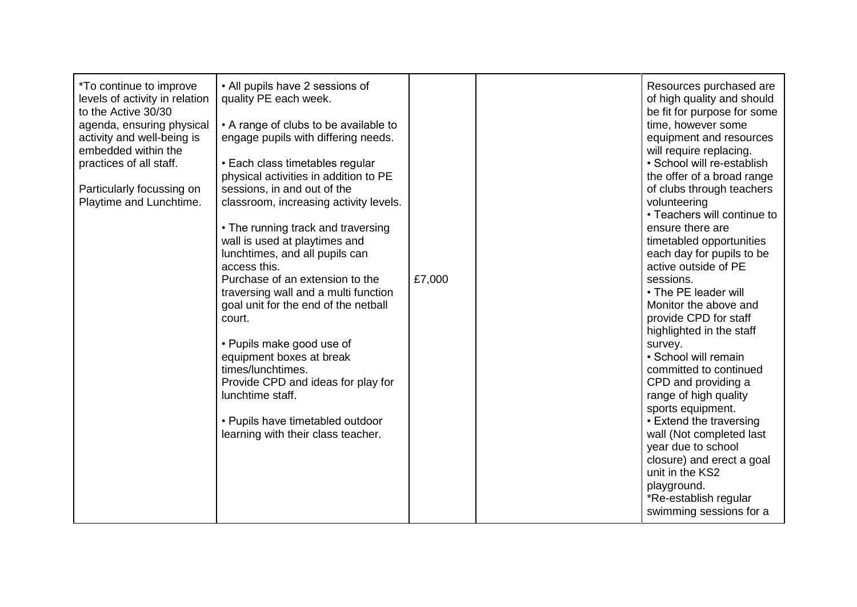| <i>*To continue to improve</i><br>levels of activity in relation<br>to the Active 30/30<br>agenda, ensuring physical<br>activity and well-being is<br>embedded within the<br>practices of all staff.<br>Particularly focussing on<br>Playtime and Lunchtime.<br>court. | • All pupils have 2 sessions of<br>quality PE each week.<br>• A range of clubs to be available to<br>engage pupils with differing needs.<br>• Each class timetables regular<br>physical activities in addition to PE<br>sessions, in and out of the<br>classroom, increasing activity levels.<br>• The running track and traversing<br>wall is used at playtimes and<br>lunchtimes, and all pupils can<br>access this.<br>Purchase of an extension to the<br>traversing wall and a multi function<br>goal unit for the end of the netball<br>• Pupils make good use of<br>equipment boxes at break<br>times/lunchtimes.<br>Provide CPD and ideas for play for<br>lunchtime staff.<br>• Pupils have timetabled outdoor<br>learning with their class teacher. | £7,000 |  | Resources purchased are<br>of high quality and should<br>be fit for purpose for some<br>time, however some<br>equipment and resources<br>will require replacing.<br>· School will re-establish<br>the offer of a broad range<br>of clubs through teachers<br>volunteering<br>• Teachers will continue to<br>ensure there are<br>timetabled opportunities<br>each day for pupils to be<br>active outside of PE<br>sessions.<br>• The PE leader will<br>Monitor the above and<br>provide CPD for staff<br>highlighted in the staff<br>survey.<br>· School will remain<br>committed to continued<br>CPD and providing a<br>range of high quality<br>sports equipment.<br>• Extend the traversing<br>wall (Not completed last<br>year due to school<br>closure) and erect a goal<br>unit in the KS2<br>playground.<br>*Re-establish regular<br>swimming sessions for a |
|------------------------------------------------------------------------------------------------------------------------------------------------------------------------------------------------------------------------------------------------------------------------|-------------------------------------------------------------------------------------------------------------------------------------------------------------------------------------------------------------------------------------------------------------------------------------------------------------------------------------------------------------------------------------------------------------------------------------------------------------------------------------------------------------------------------------------------------------------------------------------------------------------------------------------------------------------------------------------------------------------------------------------------------------|--------|--|--------------------------------------------------------------------------------------------------------------------------------------------------------------------------------------------------------------------------------------------------------------------------------------------------------------------------------------------------------------------------------------------------------------------------------------------------------------------------------------------------------------------------------------------------------------------------------------------------------------------------------------------------------------------------------------------------------------------------------------------------------------------------------------------------------------------------------------------------------------------|
|------------------------------------------------------------------------------------------------------------------------------------------------------------------------------------------------------------------------------------------------------------------------|-------------------------------------------------------------------------------------------------------------------------------------------------------------------------------------------------------------------------------------------------------------------------------------------------------------------------------------------------------------------------------------------------------------------------------------------------------------------------------------------------------------------------------------------------------------------------------------------------------------------------------------------------------------------------------------------------------------------------------------------------------------|--------|--|--------------------------------------------------------------------------------------------------------------------------------------------------------------------------------------------------------------------------------------------------------------------------------------------------------------------------------------------------------------------------------------------------------------------------------------------------------------------------------------------------------------------------------------------------------------------------------------------------------------------------------------------------------------------------------------------------------------------------------------------------------------------------------------------------------------------------------------------------------------------|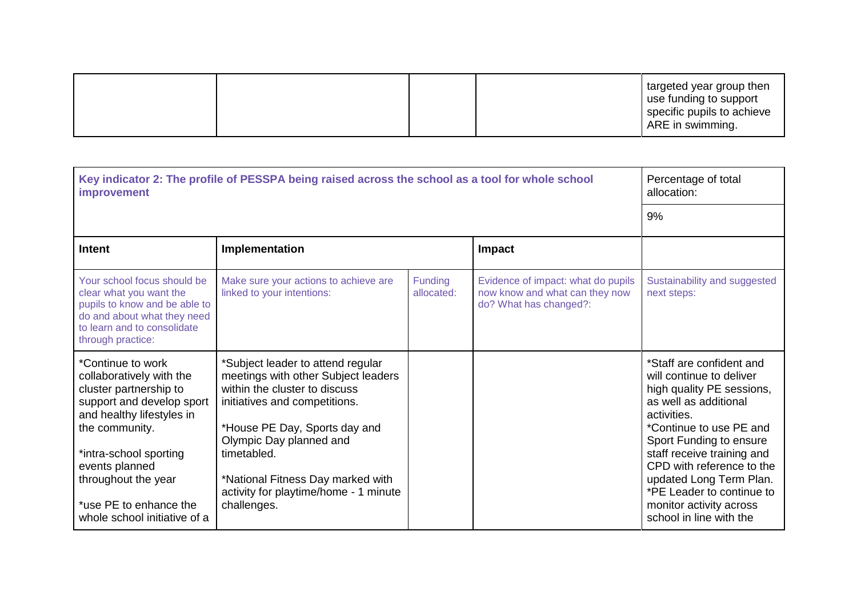| ARE in swimming. |
|------------------|
|------------------|

| Key indicator 2: The profile of PESSPA being raised across the school as a tool for whole school<br><b>improvement</b>                                                                                                                                                           |                                                                                                                                                                                                                                                                                                                    |                              |                                                                                                | Percentage of total<br>allocation:                                                                                                                                                                                                                                                                                                                       |
|----------------------------------------------------------------------------------------------------------------------------------------------------------------------------------------------------------------------------------------------------------------------------------|--------------------------------------------------------------------------------------------------------------------------------------------------------------------------------------------------------------------------------------------------------------------------------------------------------------------|------------------------------|------------------------------------------------------------------------------------------------|----------------------------------------------------------------------------------------------------------------------------------------------------------------------------------------------------------------------------------------------------------------------------------------------------------------------------------------------------------|
|                                                                                                                                                                                                                                                                                  | 9%                                                                                                                                                                                                                                                                                                                 |                              |                                                                                                |                                                                                                                                                                                                                                                                                                                                                          |
| <b>Intent</b>                                                                                                                                                                                                                                                                    | Implementation                                                                                                                                                                                                                                                                                                     |                              | Impact                                                                                         |                                                                                                                                                                                                                                                                                                                                                          |
| Your school focus should be<br>clear what you want the<br>pupils to know and be able to<br>do and about what they need<br>to learn and to consolidate<br>through practice:                                                                                                       | Make sure your actions to achieve are<br>linked to your intentions:                                                                                                                                                                                                                                                | <b>Funding</b><br>allocated: | Evidence of impact: what do pupils<br>now know and what can they now<br>do? What has changed?: | Sustainability and suggested<br>next steps:                                                                                                                                                                                                                                                                                                              |
| *Continue to work<br>collaboratively with the<br>cluster partnership to<br>support and develop sport<br>and healthy lifestyles in<br>the community.<br>*intra-school sporting<br>events planned<br>throughout the year<br>*use PE to enhance the<br>whole school initiative of a | *Subject leader to attend regular<br>meetings with other Subject leaders<br>within the cluster to discuss<br>initiatives and competitions.<br>*House PE Day, Sports day and<br>Olympic Day planned and<br>timetabled.<br>*National Fitness Day marked with<br>activity for playtime/home - 1 minute<br>challenges. |                              |                                                                                                | *Staff are confident and<br>will continue to deliver<br>high quality PE sessions,<br>as well as additional<br>activities.<br>*Continue to use PE and<br>Sport Funding to ensure<br>staff receive training and<br>CPD with reference to the<br>updated Long Term Plan.<br>*PE Leader to continue to<br>monitor activity across<br>school in line with the |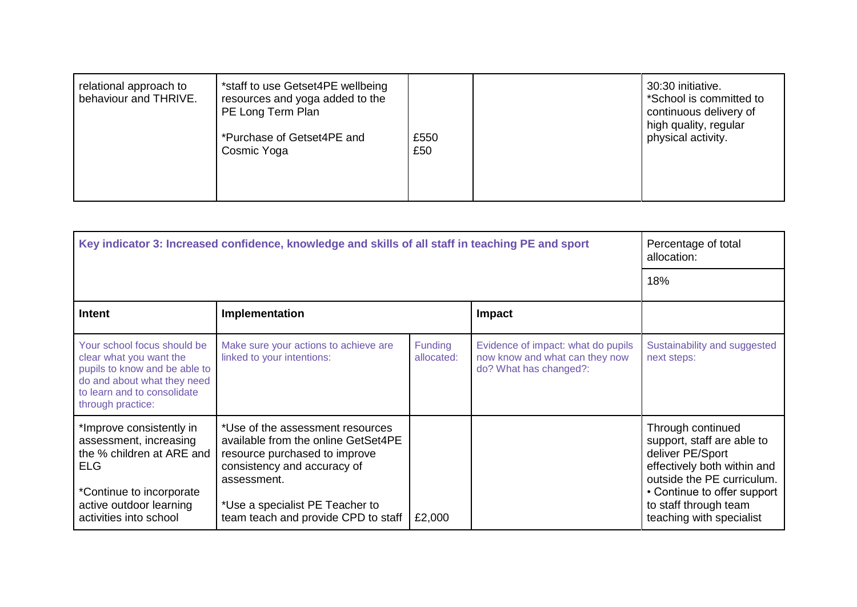| *staff to use Getset4PE wellbeing<br>relational approach to<br>behaviour and THRIVE.<br>resources and yoga added to the<br>PE Long Term Plan<br>*Purchase of Getset4PE and<br>Cosmic Yoga | £550<br>£50 | 30:30 initiative.<br>*School is committed to<br>continuous delivery of<br>high quality, regular<br>physical activity. |
|-------------------------------------------------------------------------------------------------------------------------------------------------------------------------------------------|-------------|-----------------------------------------------------------------------------------------------------------------------|
|-------------------------------------------------------------------------------------------------------------------------------------------------------------------------------------------|-------------|-----------------------------------------------------------------------------------------------------------------------|

| Key indicator 3: Increased confidence, knowledge and skills of all staff in teaching PE and sport                                                                          |                                                                                                                                                                                                                                  |                       |                                                                                                | Percentage of total<br>allocation:                                                                                                                                                                                   |  |
|----------------------------------------------------------------------------------------------------------------------------------------------------------------------------|----------------------------------------------------------------------------------------------------------------------------------------------------------------------------------------------------------------------------------|-----------------------|------------------------------------------------------------------------------------------------|----------------------------------------------------------------------------------------------------------------------------------------------------------------------------------------------------------------------|--|
|                                                                                                                                                                            |                                                                                                                                                                                                                                  |                       |                                                                                                | 18%                                                                                                                                                                                                                  |  |
| Intent                                                                                                                                                                     | <b>Impact</b><br>Implementation                                                                                                                                                                                                  |                       |                                                                                                |                                                                                                                                                                                                                      |  |
| Your school focus should be<br>clear what you want the<br>pupils to know and be able to<br>do and about what they need<br>to learn and to consolidate<br>through practice: | Make sure your actions to achieve are<br>linked to your intentions:                                                                                                                                                              | Funding<br>allocated: | Evidence of impact: what do pupils<br>now know and what can they now<br>do? What has changed?: | Sustainability and suggested<br>next steps:                                                                                                                                                                          |  |
| *Improve consistently in<br>assessment, increasing<br>the % children at ARE and<br>ELG<br>*Continue to incorporate<br>active outdoor learning<br>activities into school    | *Use of the assessment resources<br>available from the online GetSet4PE<br>resource purchased to improve<br>consistency and accuracy of<br>assessment.<br>*Use a specialist PE Teacher to<br>team teach and provide CPD to staff | £2,000                |                                                                                                | Through continued<br>support, staff are able to<br>deliver PE/Sport<br>effectively both within and<br>outside the PE curriculum.<br>• Continue to offer support<br>to staff through team<br>teaching with specialist |  |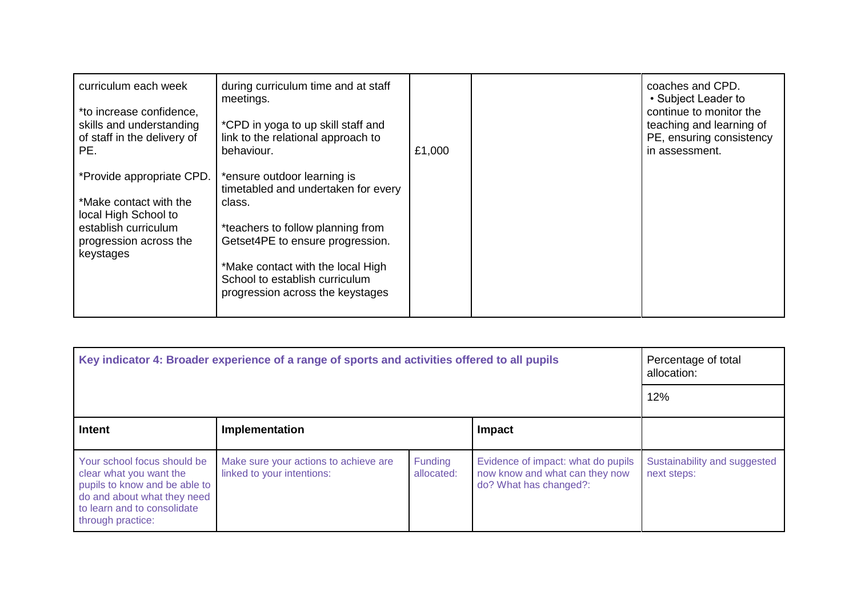| curriculum each week<br>*to increase confidence,<br>skills and understanding<br>of staff in the delivery of<br>PE.                         | during curriculum time and at staff<br>meetings.<br>*CPD in yoga to up skill staff and<br>link to the relational approach to<br>behaviour.                                                                                                                       | £1,000 | coaches and CPD.<br>• Subject Leader to<br>continue to monitor the<br>teaching and learning of<br>PE, ensuring consistency<br>in assessment. |
|--------------------------------------------------------------------------------------------------------------------------------------------|------------------------------------------------------------------------------------------------------------------------------------------------------------------------------------------------------------------------------------------------------------------|--------|----------------------------------------------------------------------------------------------------------------------------------------------|
| *Provide appropriate CPD.<br>*Make contact with the<br>local High School to<br>establish curriculum<br>progression across the<br>keystages | *ensure outdoor learning is<br>timetabled and undertaken for every<br>class.<br>*teachers to follow planning from<br>Getset4PE to ensure progression.<br>*Make contact with the local High<br>School to establish curriculum<br>progression across the keystages |        |                                                                                                                                              |

| Key indicator 4: Broader experience of a range of sports and activities offered to all pupils                                                                              |                                                                     |                       |                                                                                                | Percentage of total<br>allocation:          |
|----------------------------------------------------------------------------------------------------------------------------------------------------------------------------|---------------------------------------------------------------------|-----------------------|------------------------------------------------------------------------------------------------|---------------------------------------------|
|                                                                                                                                                                            |                                                                     |                       |                                                                                                | 12%                                         |
| Intent                                                                                                                                                                     | Implementation<br>Impact                                            |                       |                                                                                                |                                             |
| Your school focus should be<br>clear what you want the<br>pupils to know and be able to<br>do and about what they need<br>to learn and to consolidate<br>through practice: | Make sure your actions to achieve are<br>linked to your intentions: | Funding<br>allocated: | Evidence of impact: what do pupils<br>now know and what can they now<br>do? What has changed?: | Sustainability and suggested<br>next steps: |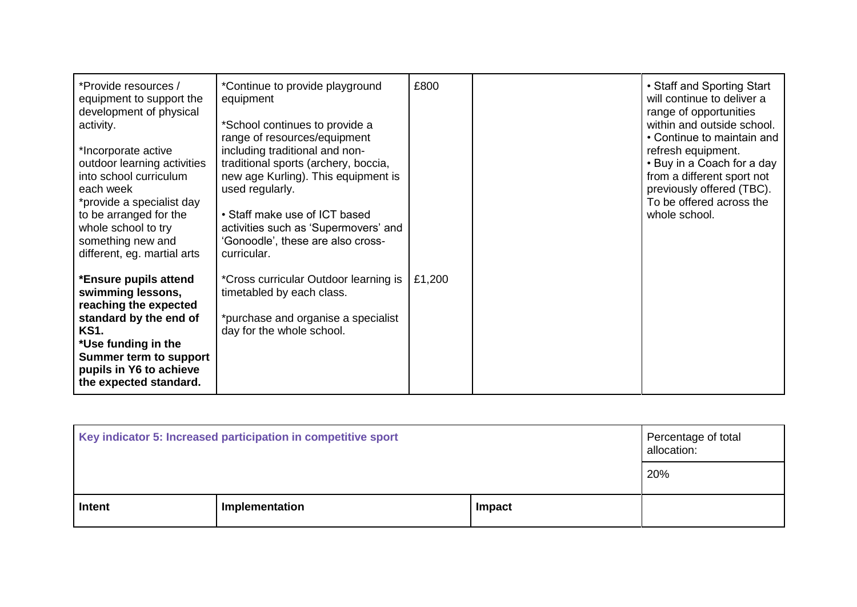| *Provide resources /<br>equipment to support the<br>development of physical<br>activity.<br>*Incorporate active<br>outdoor learning activities<br>into school curriculum<br>each week<br>*provide a specialist day<br>to be arranged for the<br>whole school to try<br>something new and<br>different, eg. martial arts | *Continue to provide playground<br>equipment<br>*School continues to provide a<br>range of resources/equipment<br>including traditional and non-<br>traditional sports (archery, boccia,<br>new age Kurling). This equipment is<br>used regularly.<br>• Staff make use of ICT based<br>activities such as 'Supermovers' and<br>'Gonoodle', these are also cross-<br>curricular. | £800   | • Staff and Sporting Start<br>will continue to deliver a<br>range of opportunities<br>within and outside school.<br>• Continue to maintain and<br>refresh equipment.<br>• Buy in a Coach for a day<br>from a different sport not<br>previously offered (TBC).<br>To be offered across the<br>whole school. |
|-------------------------------------------------------------------------------------------------------------------------------------------------------------------------------------------------------------------------------------------------------------------------------------------------------------------------|---------------------------------------------------------------------------------------------------------------------------------------------------------------------------------------------------------------------------------------------------------------------------------------------------------------------------------------------------------------------------------|--------|------------------------------------------------------------------------------------------------------------------------------------------------------------------------------------------------------------------------------------------------------------------------------------------------------------|
| *Ensure pupils attend<br>swimming lessons,<br>reaching the expected<br>standard by the end of<br><b>KS1.</b><br>*Use funding in the<br><b>Summer term to support</b><br>pupils in Y6 to achieve<br>the expected standard.                                                                                               | <i>*Cross curricular Outdoor learning is</i><br>timetabled by each class.<br>*purchase and organise a specialist<br>day for the whole school.                                                                                                                                                                                                                                   | £1,200 |                                                                                                                                                                                                                                                                                                            |

| Key indicator 5: Increased participation in competitive sport |                |               | Percentage of total<br>allocation: |
|---------------------------------------------------------------|----------------|---------------|------------------------------------|
|                                                               |                |               | 20%                                |
| Intent                                                        | Implementation | <b>Impact</b> |                                    |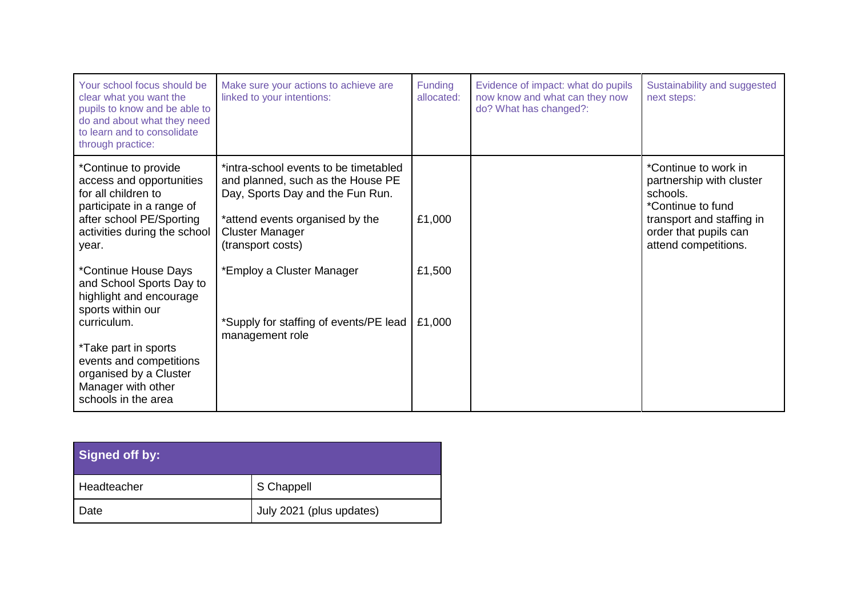| Your school focus should be<br>clear what you want the<br>pupils to know and be able to<br>do and about what they need<br>to learn and to consolidate<br>through practice: | Make sure your actions to achieve are<br>linked to your intentions:                                                                                                                              | <b>Funding</b><br>allocated: | Evidence of impact: what do pupils<br>now know and what can they now<br>do? What has changed?: | Sustainability and suggested<br>next steps:                                                                                                                     |
|----------------------------------------------------------------------------------------------------------------------------------------------------------------------------|--------------------------------------------------------------------------------------------------------------------------------------------------------------------------------------------------|------------------------------|------------------------------------------------------------------------------------------------|-----------------------------------------------------------------------------------------------------------------------------------------------------------------|
| *Continue to provide<br>access and opportunities<br>for all children to<br>participate in a range of<br>after school PE/Sporting<br>activities during the school<br>year.  | *intra-school events to be timetabled<br>and planned, such as the House PE<br>Day, Sports Day and the Fun Run.<br>*attend events organised by the<br><b>Cluster Manager</b><br>(transport costs) | £1,000                       |                                                                                                | *Continue to work in<br>partnership with cluster<br>schools.<br>*Continue to fund<br>transport and staffing in<br>order that pupils can<br>attend competitions. |
| *Continue House Days<br>and School Sports Day to<br>highlight and encourage<br>sports within our<br>curriculum.                                                            | *Employ a Cluster Manager<br>*Supply for staffing of events/PE lead                                                                                                                              | £1,500<br>£1,000             |                                                                                                |                                                                                                                                                                 |
| *Take part in sports<br>events and competitions<br>organised by a Cluster<br>Manager with other<br>schools in the area                                                     | management role                                                                                                                                                                                  |                              |                                                                                                |                                                                                                                                                                 |

| <b>Signed off by:</b> |                          |
|-----------------------|--------------------------|
| Headteacher           | S Chappell               |
| Date                  | July 2021 (plus updates) |